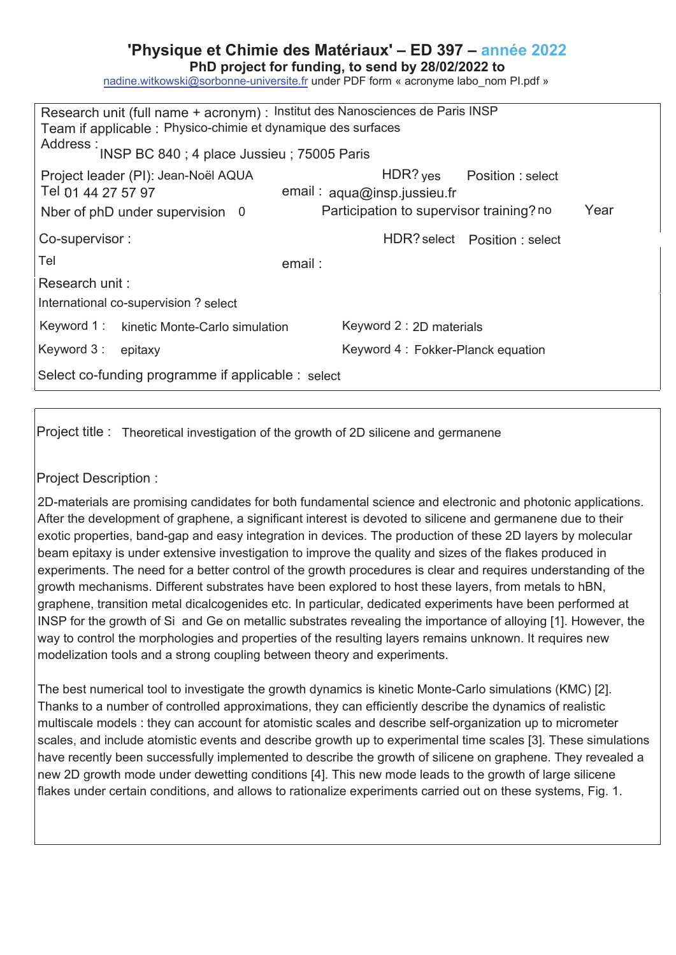## **'Physique et Chimie des Matériaux' – ED 397 – année 202**

PhD project for funding, to send by 28/02/2022 to

nadine.witkowski@sorbonne-universite.fr under PDF form « acronyme labo\_nom Pl.pdf »

| Research unit (full name + acronym) : Institut des Nanosciences de Paris INSP<br>Team if applicable : Physico-chimie et dynamique des surfaces |                                                  |
|------------------------------------------------------------------------------------------------------------------------------------------------|--------------------------------------------------|
| Address : INSP BC 840 ; 4 place Jussieu ; 75005 Paris                                                                                          |                                                  |
| Project leader (PI): Jean-Noël AQUA                                                                                                            | $HDR?$ yes Position : select                     |
| Tel 01 44 27 57 97                                                                                                                             | email: aqua@insp.jussieu.fr                      |
| Nber of phD under supervision 0                                                                                                                | Participation to supervisor training? no<br>Year |
| Co-supervisor:                                                                                                                                 | HDR? select    Position : select                 |
| Tel<br>email :                                                                                                                                 |                                                  |
| Research unit:                                                                                                                                 |                                                  |
| International co-supervision? select                                                                                                           |                                                  |
| Keyword 1: kinetic Monte-Carlo simulation                                                                                                      | Keyword 2 : 2D materials                         |
| Keyword 3:<br>epitaxy                                                                                                                          | Keyword 4: Fokker-Planck equation                |
| Select co-funding programme if applicable : select                                                                                             |                                                  |

Project title : Theoretical investigation of the growth of 2D silicene and germanene

Project Description :

2D-materials are promising candidates for both fundamental science and electronic and photonic applications. After the development of graphene, a significant interest is devoted to silicene and germanene due to their exotic properties, band-gap and easy integration in devices. The production of these 2D layers by molecular beam epitaxy is under extensive investigation to improve the quality and sizes of the flakes produced in experiments. The need for a better control of the growth procedures is clear and requires understanding of the growth mechanisms. Different substrates have been explored to host these layers, from metals to hBN, graphene, transition metal dicalcogenides etc. In particular, dedicated experiments have been performed at INSP for the growth of Si and Ge on metallic substrates revealing the importance of alloying [1]. However, the way to control the morphologies and properties of the resulting layers remains unknown. It requires new modelization tools and a strong coupling between theory and experiments.

The best numerical tool to investigate the growth dynamics is kinetic Monte-Carlo simulations (KMC) [2]. Thanks to a number of controlled approximations, they can efficiently describe the dynamics of realistic multiscale models : they can account for atomistic scales and describe self-organization up to micrometer scales, and include atomistic events and describe growth up to experimental time scales [3]. These simulations have recently been successfully implemented to describe the growth of silicene on graphene. They revealed a new 2D growth mode under dewetting conditions [4]. This new mode leads to the growth of large silicene flakes under certain conditions, and allows to rationalize experiments carried out on these systems, Fig. 1.